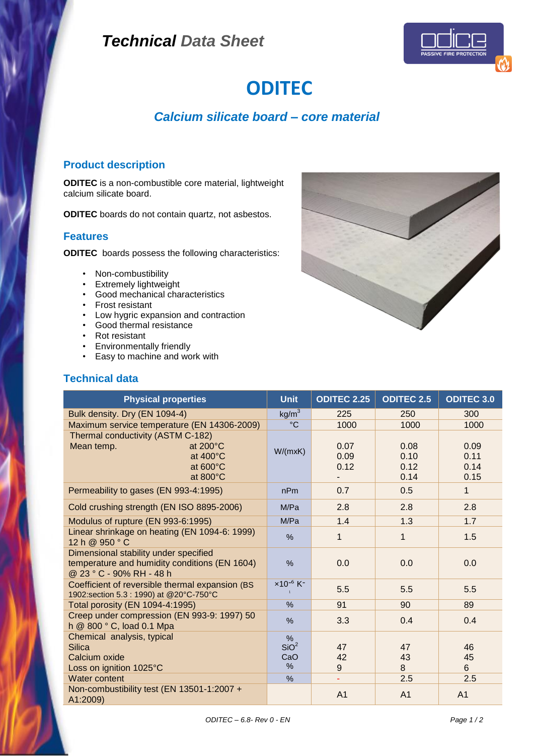## *Technical Data Sheet*



# **ODITEC**

## *Calcium silicate board – core material*

### **Product description**

**ODITEC** is a non-combustible core material, lightweight calcium silicate board.

**ODITEC** boards do not contain quartz, not asbestos.

#### **Features**

**ODITEC** boards possess the following characteristics:

- Non-combustibility
- Extremely lightweight
- Good mechanical characteristics
- Frost resistant
- Low hygric expansion and contraction
- Good thermal resistance
- Rot resistant
- Environmentally friendly
- Easy to machine and work with

#### **Technical data**



| <b>Physical properties</b>                                                                                                                             | <b>Unit</b>                                  | <b>ODITEC 2.25</b>   | <b>ODITEC 2.5</b>            | <b>ODITEC 3.0</b>            |
|--------------------------------------------------------------------------------------------------------------------------------------------------------|----------------------------------------------|----------------------|------------------------------|------------------------------|
| Bulk density. Dry (EN 1094-4)                                                                                                                          | kg/m <sup>3</sup>                            | 225                  | 250                          | 300                          |
| Maximum service temperature (EN 14306-2009)                                                                                                            | $^{\circ}C$                                  | 1000                 | 1000                         | 1000                         |
| Thermal conductivity (ASTM C-182)<br>Mean temp.<br>at $200^{\circ}$ C<br>at $400^{\circ}$ C<br>at $600^{\circ}$ C<br>at $800^{\circ}$ C                | W/(mxK)                                      | 0.07<br>0.09<br>0.12 | 0.08<br>0.10<br>0.12<br>0.14 | 0.09<br>0.11<br>0.14<br>0.15 |
| Permeability to gases (EN 993-4:1995)                                                                                                                  | nPm                                          | 0.7                  | 0.5                          | $\mathbf{1}$                 |
| Cold crushing strength (EN ISO 8895-2006)                                                                                                              | M/Pa                                         | 2.8                  | 2.8                          | 2.8                          |
| Modulus of rupture (EN 993-6:1995)                                                                                                                     | M/Pa                                         | 1.4                  | 1.3                          | 1.7                          |
| Linear shrinkage on heating (EN 1094-6: 1999)<br>12 h @ 950 °C                                                                                         | %                                            | $\mathbf{1}$         | $\mathbf{1}$                 | 1.5                          |
| Dimensional stability under specified<br>temperature and humidity conditions (EN 1604)<br>@ 23 ° C - 90% RH - 48 h                                     | %                                            | 0.0                  | 0.0                          | 0.0                          |
| Coefficient of reversible thermal expansion (BS<br>1902:section 5.3 : 1990) at @20°C-750°C                                                             | $x10^{-6}$ K <sup>-</sup>                    | 5.5                  | 5.5                          | 5.5                          |
| Total porosity (EN 1094-4:1995)                                                                                                                        | $\frac{0}{0}$                                | 91                   | 90                           | 89                           |
| Creep under compression (EN 993-9: 1997) 50<br>h @ 800 ° C, load 0.1 Mpa                                                                               | $\%$                                         | 3.3                  | 0.4                          | 0.4                          |
| Chemical analysis, typical<br>Silica<br>Calcium oxide<br>Loss on ignition 1025°C<br><b>Water content</b><br>Non-combustibility test (EN 13501-1:2007 + | $\%$<br>SiO <sup>2</sup><br>CaO<br>$\%$<br>% | 47<br>42<br>9<br>ä,  | 47<br>43<br>8<br>2.5         | 46<br>45<br>6<br>2.5         |
| A1:2009)                                                                                                                                               |                                              | A <sub>1</sub>       | A <sub>1</sub>               | A <sub>1</sub>               |